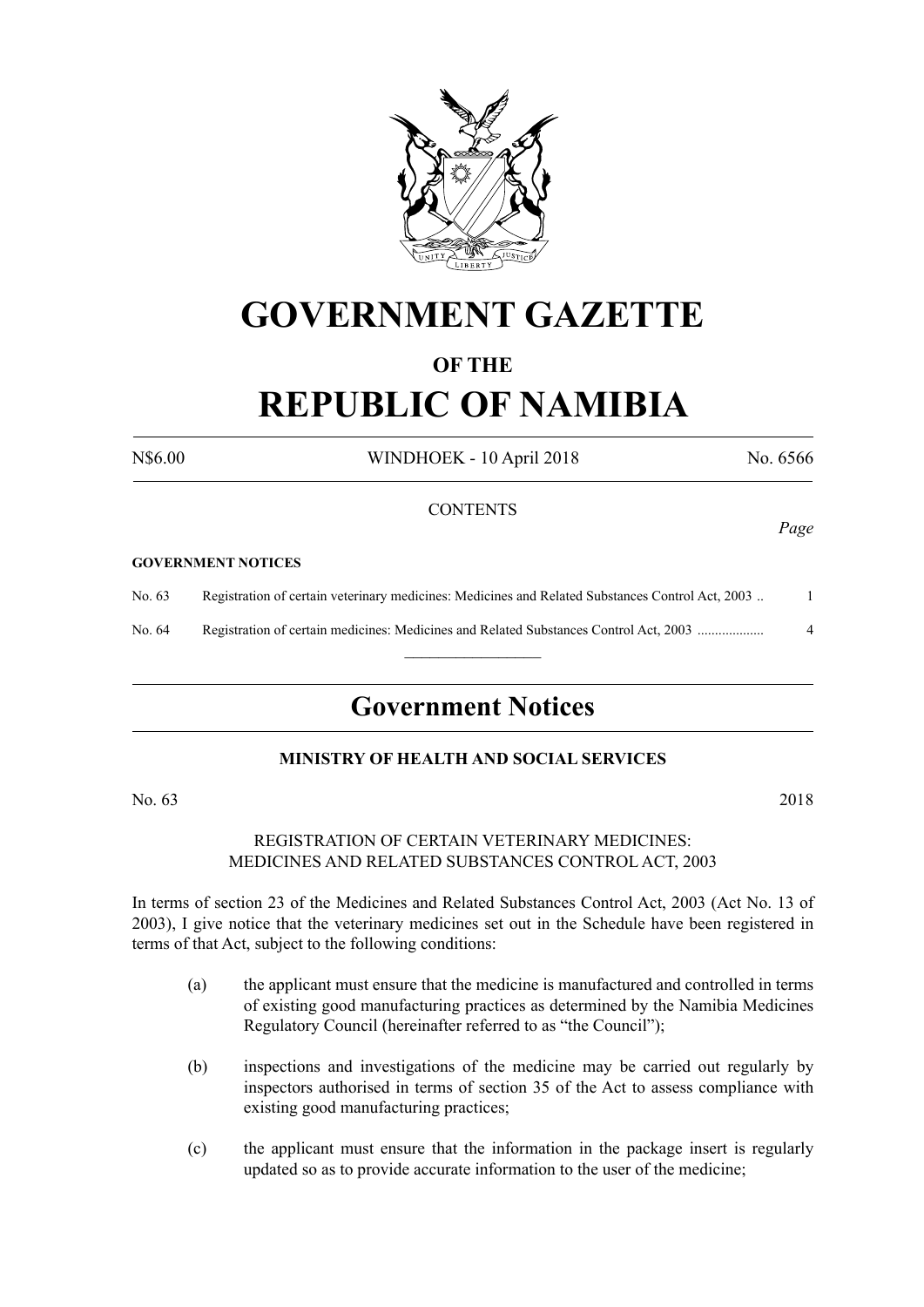

## **GOVERNMENT GAZETTE**

### **OF THE**

# **REPUBLIC OF NAMIBIA**

N\$6.00 WINDHOEK - 10 April 2018 No. 6566

### **CONTENTS**

#### **GOVERNMENT NOTICES**

No. 63 Registration of certain veterinary medicines: Medicines and Related Substances Control Act, 2003 .. 1

No. 64 Registration of certain medicines: Medicines and Related Substances Control Act, 2003 ................... 4  $\overline{\phantom{a}}$  , where  $\overline{\phantom{a}}$ 

### **Government Notices**

### **MINISTRY OF HEALTH AND SOCIAL SERVICES**

No. 63 2018

REGISTRATION OF CERTAIN VETERINARY MEDICINES: MEDICINES AND RELATED SUBSTANCES CONTROL ACT, 2003

In terms of section 23 of the Medicines and Related Substances Control Act, 2003 (Act No. 13 of 2003), I give notice that the veterinary medicines set out in the Schedule have been registered in terms of that Act, subject to the following conditions:

- (a) the applicant must ensure that the medicine is manufactured and controlled in terms of existing good manufacturing practices as determined by the Namibia Medicines Regulatory Council (hereinafter referred to as "the Council");
- (b) inspections and investigations of the medicine may be carried out regularly by inspectors authorised in terms of section 35 of the Act to assess compliance with existing good manufacturing practices;
- (c) the applicant must ensure that the information in the package insert is regularly updated so as to provide accurate information to the user of the medicine;

*Page*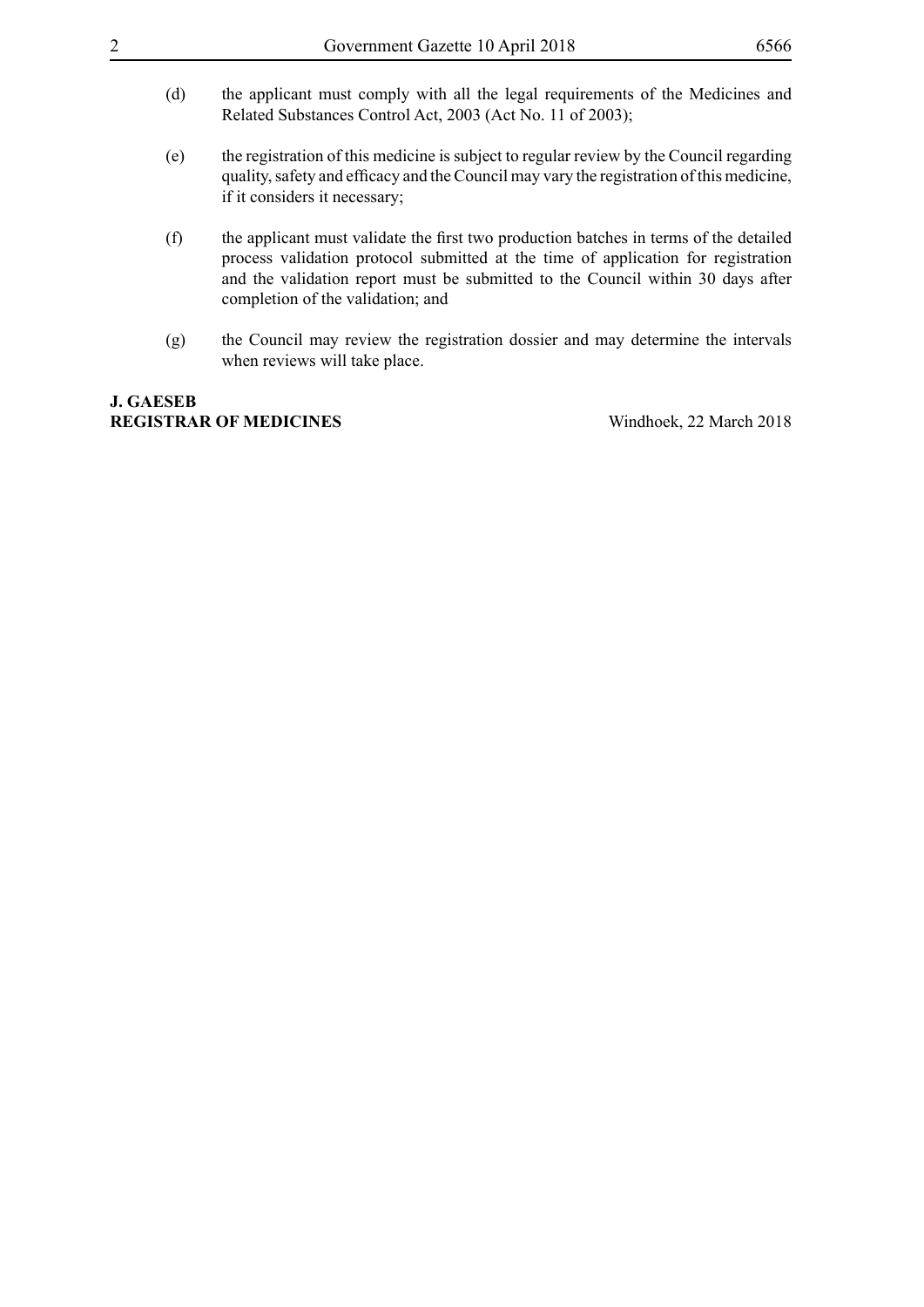- (d) the applicant must comply with all the legal requirements of the Medicines and Related Substances Control Act, 2003 (Act No. 11 of 2003);
- (e) the registration of this medicine is subject to regular review by the Council regarding quality, safety and efficacy and the Council may vary the registration of this medicine, if it considers it necessary;
- (f) the applicant must validate the first two production batches in terms of the detailed process validation protocol submitted at the time of application for registration and the validation report must be submitted to the Council within 30 days after completion of the validation; and
- (g) the Council may review the registration dossier and may determine the intervals when reviews will take place.

### **J. GAESEB REGISTRAR OF MEDICINES** Windhoek, 22 March 2018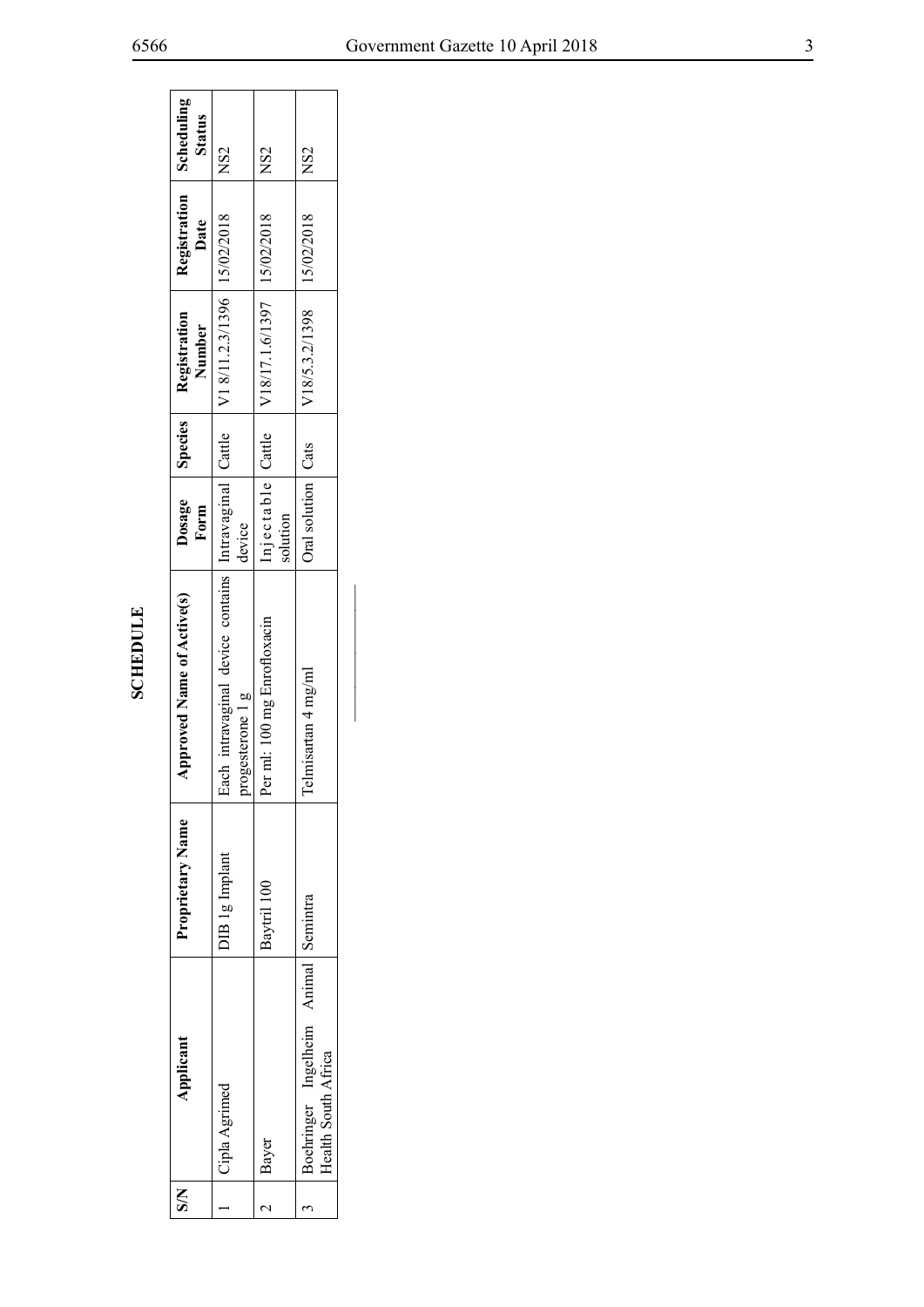| Š | Applicant                                                   | Proprietary Name      | <b>Approved Name of Active(s)</b>                                                                             | Form                 | Dosage Species Registration<br>Number              | Registration Scheduling<br>Date | <b>Status</b>   |
|---|-------------------------------------------------------------|-----------------------|---------------------------------------------------------------------------------------------------------------|----------------------|----------------------------------------------------|---------------------------------|-----------------|
|   | Cipla Agrimed                                               | <b>DIB</b> 1g Implant | Each intravaginal device contains   Intravaginal   Cattle   V1 8/11.2.3/1396   15/02/2018<br>progesterone 1 g | device               |                                                    |                                 | NS2             |
|   | Bayer                                                       | Baytril 100           | Per ml: 100 mg Enrofloxacin                                                                                   | solution             | Injectable   Cattle   V18/17.1.6/1397   15/02/2018 |                                 | INS2            |
|   | Boehringer Ingelheim Animal Semintra<br>Health South Africa |                       | Telmisartan 4 mg/ml                                                                                           | Oral solution   Cats | $\sqrt{18/5.3.2/1398}$   15/02/2018                |                                 | NS <sub>2</sub> |

 $\blacksquare$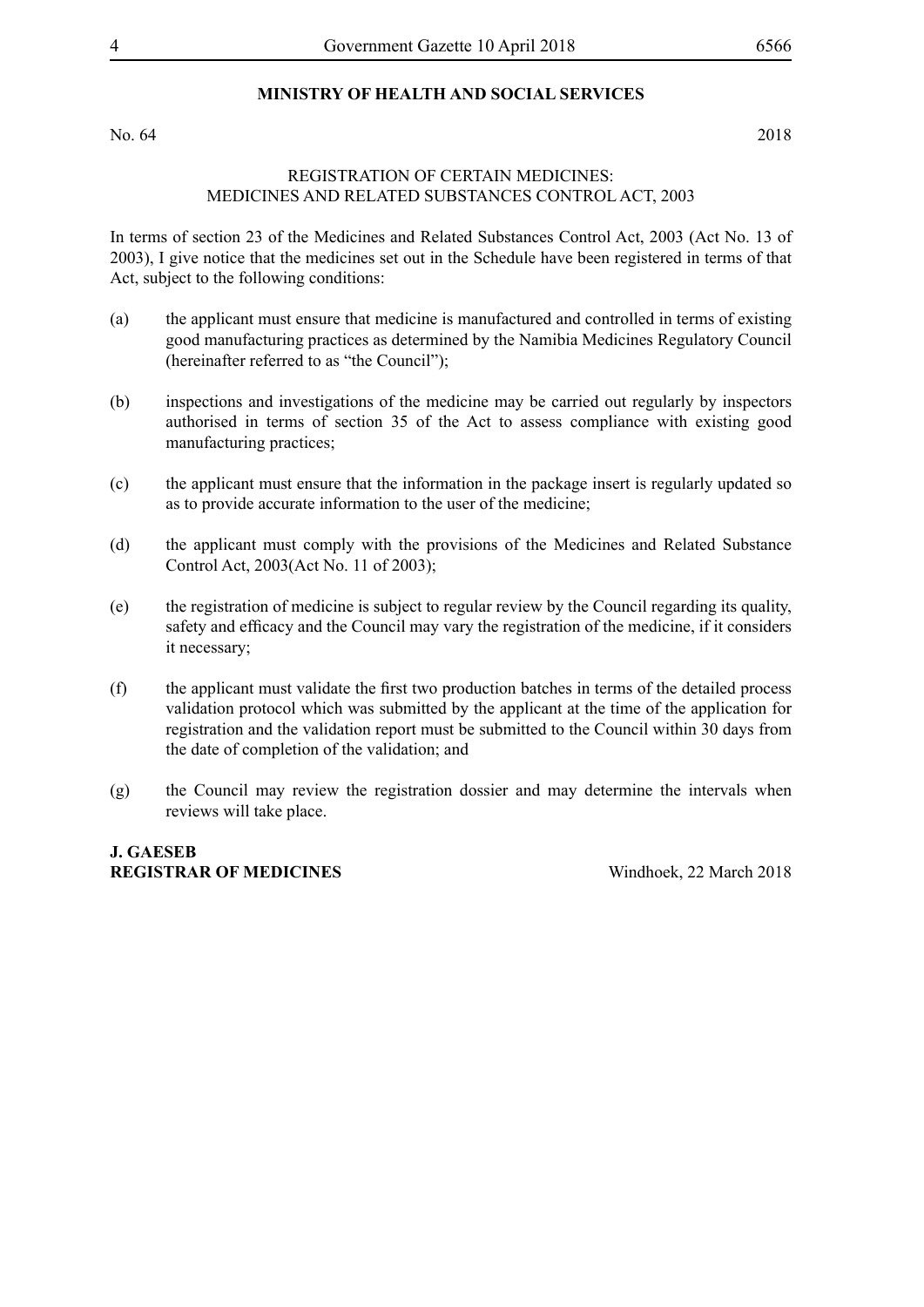### **MINISTRY OF HEALTH AND SOCIAL SERVICES**

No. 64 2018

### REGISTRATION OF CERTAIN MEDICINES: MEDICINES AND RELATED SUBSTANCES CONTROL ACT, 2003

In terms of section 23 of the Medicines and Related Substances Control Act, 2003 (Act No. 13 of 2003), I give notice that the medicines set out in the Schedule have been registered in terms of that Act, subject to the following conditions:

- (a) the applicant must ensure that medicine is manufactured and controlled in terms of existing good manufacturing practices as determined by the Namibia Medicines Regulatory Council (hereinafter referred to as "the Council");
- (b) inspections and investigations of the medicine may be carried out regularly by inspectors authorised in terms of section 35 of the Act to assess compliance with existing good manufacturing practices;
- (c) the applicant must ensure that the information in the package insert is regularly updated so as to provide accurate information to the user of the medicine;
- (d) the applicant must comply with the provisions of the Medicines and Related Substance Control Act, 2003(Act No. 11 of 2003);
- (e) the registration of medicine is subject to regular review by the Council regarding its quality, safety and efficacy and the Council may vary the registration of the medicine, if it considers it necessary;
- (f) the applicant must validate the first two production batches in terms of the detailed process validation protocol which was submitted by the applicant at the time of the application for registration and the validation report must be submitted to the Council within 30 days from the date of completion of the validation; and
- (g) the Council may review the registration dossier and may determine the intervals when reviews will take place.

**J. GAESEB REGISTRAR OF MEDICINES** Windhoek, 22 March 2018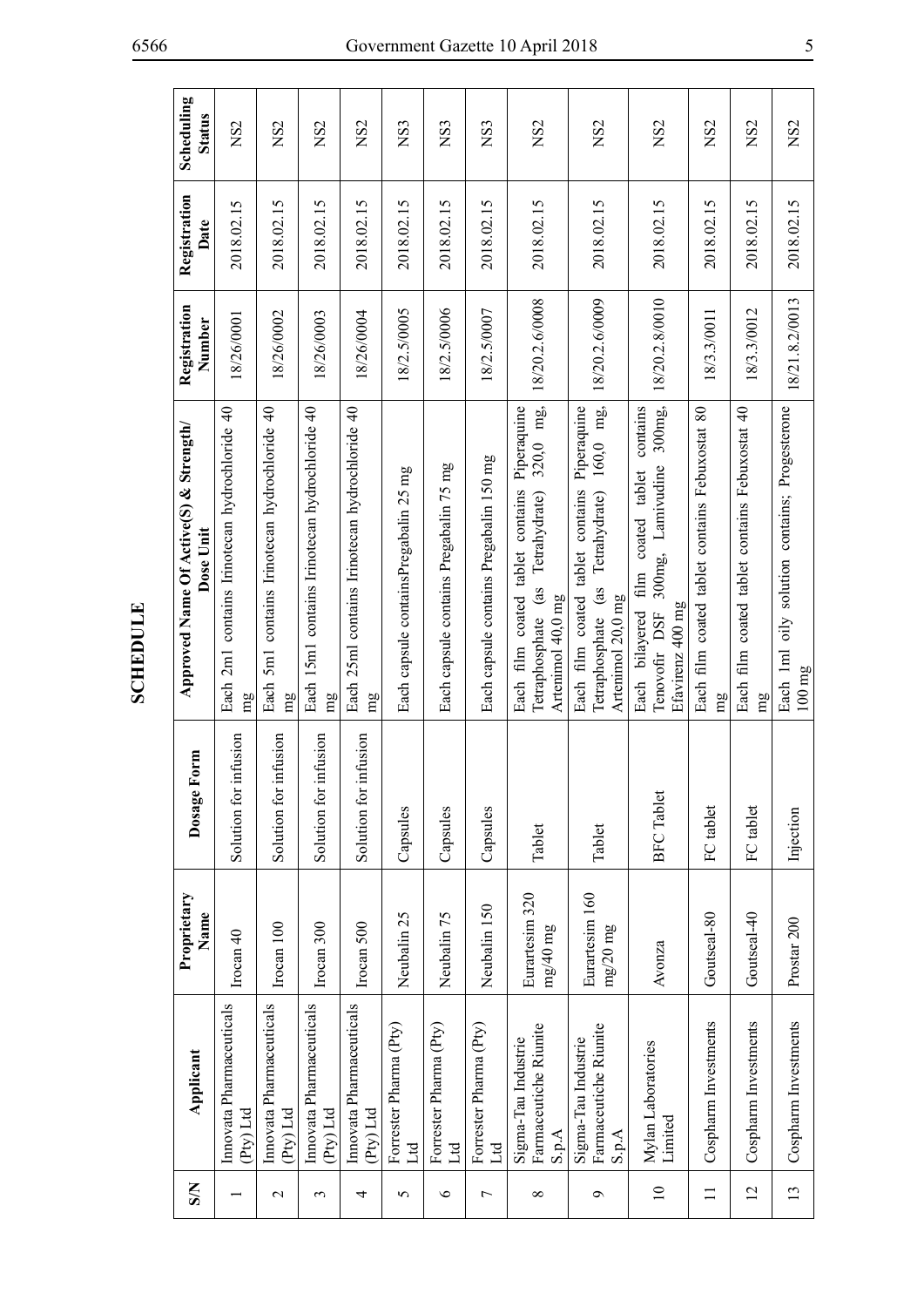| $\mathbf{S}$    | Applicant                                                        | Proprietary<br>Name          | Dosage Form           | Approved Name Of Active(S) & Strength/<br>Dose Unit                                                                      | Registration<br>Number | Registration<br>Date | Scheduling<br><b>Status</b> |
|-----------------|------------------------------------------------------------------|------------------------------|-----------------------|--------------------------------------------------------------------------------------------------------------------------|------------------------|----------------------|-----------------------------|
|                 | Innovata Pharmaceuticals<br>Pty) Ltd                             | Irocan $40$                  | Solution for infusion | Each 2m1 contains Irinotecan hydrochloride 40<br>mg                                                                      | 18/26/0001             | 2018.02.15           | NS <sub>2</sub>             |
| $\mathbf{\sim}$ | Imovata Pharmaceuticals<br>$P(y)$ Ltd                            | Irocan 100                   | Solution for infusion | 5m1 contains Irinotecan hydrochloride 40<br>Each<br>mg                                                                   | 18/26/0002             | 2018.02.15           | NS <sub>2</sub>             |
| 3               | Innovata Pharmaceuticals<br>(Py) Ltd                             | Irocan 300                   | Solution for infusion | Each 15m1 contains Irinotecan hydrochloride 40<br>mg                                                                     | 18/26/0003             | 2018.02.15           | NS <sub>2</sub>             |
| 4               | Imovata Pharmaceuticals<br>Pty) Ltd                              | Irocan 500                   | Solution for infusion | Each 25ml contains Irinotecan hydrochloride 40<br>mg                                                                     | 18/26/0004             | 2018.02.15           | NS <sub>2</sub>             |
| 5               | Forrester Pharma (Pty)<br>Ľd                                     | Neubalin 25                  | Capsules              | Each capsule containsPregabalin 25 mg                                                                                    | 18/2.5/0005            | 2018.02.15           | NS <sub>3</sub>             |
| $\circ$         | Forrester Pharma (Pty)<br>Ltd                                    | Neubalin 75                  | Capsules              | Each capsule contains Pregabalin 75 mg                                                                                   | 18/2.5/0006            | 2018.02.15           | NS <sub>3</sub>             |
| $\overline{ }$  | Forrester Pharma (Pty)<br>Ltd                                    | Neubalin 150                 | Capsules              | Each capsule contains Pregabalin 150 mg                                                                                  | 18/2.5/0007            | 2018.02.15           | NS <sub>3</sub>             |
| ${}^{\circ}$    | Farmaceutiche Riunite<br>Sigma-Tau Industrie<br>S.p.A            | Eurartesim 320<br>$mg/40$ mg | Tablet                | 320,0 mg,<br>Piperaquine<br>Each film coated tablet contains<br>(as Tetrahydrate)<br>Artenimol 40,0 mg<br>Tetraphosphate | 18/20.2.6/0008         | 2018.02.15           | NS <sub>2</sub>             |
| $\sigma$        | Farmaceutiche Riunite<br>Sigma-Tau Industrie<br>$\mathbf{S.p.A}$ | Eurartesim 160<br>mg/20mg    | Tablet                | 160,0 mg,<br>Each film coated tablet contains Piperaquine<br>Tetrahydrate)<br>(as<br>Artenimol 20,0 mg<br>Tetraphosphate | 18/20.2.6/0009         | 2018.02.15           | NS <sub>2</sub>             |
| $\overline{10}$ | Mylan Laboratories<br>Limited                                    | Avonza                       | <b>BFC</b> Tablet     | contains<br>300mg<br>300mg, Lamivudine<br>coated tablet<br>film<br>Efavirenz 400 mg<br>Each bilayered<br>Tenovofir DSF   | 18/20.2.8/0010         | 2018.02.15           | NS <sub>2</sub>             |
| $\Xi$           | Cospharm Investments                                             | Goutseal-80                  | FC tablet             | Each film coated tablet contains Febuxostat 80<br>mg                                                                     | 18/3.3/0011            | 2018.02.15           | NS <sub>2</sub>             |
| 12              | Cospharm Investments                                             | Goutseal-40                  | FC tablet             | Each film coated tablet contains Febuxostat 40<br>mg                                                                     | 8/3.3/0012             | 2018.02.15           | NS <sub>2</sub>             |
| 13              | Cospharm Investments                                             | Prostar <sub>200</sub>       | Injection             | Each 1ml oily solution contains; Progesterone<br>$100 \text{ mg}$                                                        | 18/21.8.2/0013         | 2018.02.15           | NS <sub>2</sub>             |